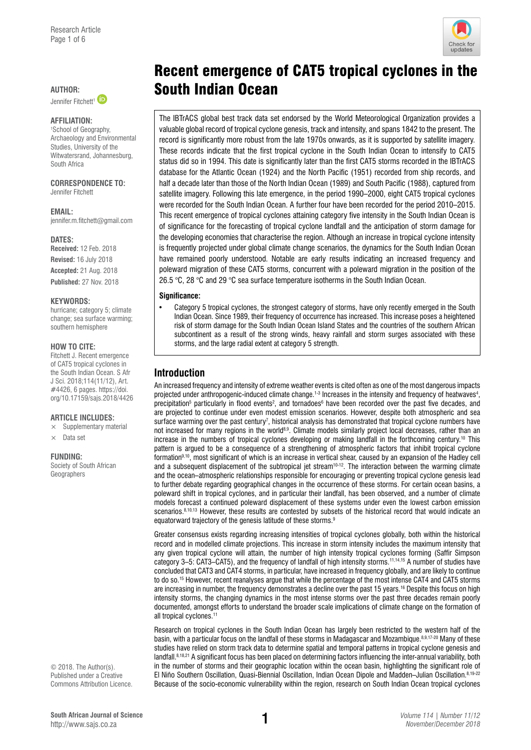Jennifer Fitchett<sup>1</sup>

### **Affiliation:**

1 School of Geography, Archaeology and Environmental Studies, University of the Witwatersrand, Johannesburg, South Africa

### **Correspondence to:**  Jennifer Fitchett

**Email:**  [jennifer.m.fitchett@gmail.com](mailto:jennifer.m.fitchett@gmail.com) 

DATES: **Received:** 12 Feb. 2018 **Revised:** 16 July 2018 **Accepted:** 21 Aug. 2018 **Published:** 27 Nov. 2018

### **Keywords:**

hurricane; category 5; climate change; sea surface warming; southern hemisphere

### **How to cite:**

Fitchett J. Recent emergence of CAT5 tropical cyclones in the South Indian Ocean. S Afr J Sci. 2018;114(11/12), Art. #4426, 6 pages. [https://doi.](https://doi.org/10.17159/sajs.2018/4426) [org/10.17159/sajs.2018/4426](https://doi.org/10.17159/sajs.2018/4426)

### **Article includes:**

 $\times$  Supplementary material

## $\times$  Data set

### **Funding:**

Society of South African Geographers

© 2018. The Author(s). Published under a [Creative](https://creativecommons.org/licenses/by/4.0/)  [Commons Attribution Licence.](https://creativecommons.org/licenses/by/4.0/)

# Recent emergence of CAT5 tropical cyclones in the AUTHOR: **South Indian Ocean**

The IBTrACS global best track data set endorsed by the World Meteorological Organization provides a valuable global record of tropical cyclone genesis, track and intensity, and spans 1842 to the present. The record is significantly more robust from the late 1970s onwards, as it is supported by satellite imagery. These records indicate that the first tropical cyclone in the South Indian Ocean to intensify to CAT5 status did so in 1994. This date is significantly later than the first CAT5 storms recorded in the IBTrACS database for the Atlantic Ocean (1924) and the North Pacific (1951) recorded from ship records, and half a decade later than those of the North Indian Ocean (1989) and South Pacific (1988), captured from satellite imagery. Following this late emergence, in the period 1990–2000, eight CAT5 tropical cyclones were recorded for the South Indian Ocean. A further four have been recorded for the period 2010–2015. This recent emergence of tropical cyclones attaining category five intensity in the South Indian Ocean is of significance for the forecasting of tropical cyclone landfall and the anticipation of storm damage for the developing economies that characterise the region. Although an increase in tropical cyclone intensity is frequently projected under global climate change scenarios, the dynamics for the South Indian Ocean have remained poorly understood. Notable are early results indicating an increased frequency and poleward migration of these CAT5 storms, concurrent with a poleward migration in the position of the 26.5 °C, 28 °C and 29 °C sea surface temperature isotherms in the South Indian Ocean.

### **Significance:**

Category 5 tropical cyclones, the strongest category of storms, have only recently emerged in the South Indian Ocean. Since 1989, their frequency of occurrence has increased. This increase poses a heightened risk of storm damage for the South Indian Ocean Island States and the countries of the southern African subcontinent as a result of the strong winds, heavy rainfall and storm surges associated with these storms, and the large radial extent at category 5 strength.

# **Introduction**

An increased frequency and intensity of extreme weather events is cited often as one of the most dangerous impacts projected under anthropogenic-induced climate change.<sup>1-3</sup> Increases in the intensity and frequency of heatwaves<sup>4</sup>, precipitation<sup>5</sup> particularly in flood events<sup>2</sup>, and tornadoes<sup>6</sup> have been recorded over the past five decades, and are projected to continue under even modest emission scenarios. However, despite both atmospheric and sea surface warming over the past century<sup>7</sup>, historical analysis has demonstrated that tropical cyclone numbers have not increased for many regions in the world8,9. Climate models similarly project local decreases, rather than an increase in the numbers of tropical cyclones developing or making landfall in the forthcoming century.10 This pattern is argued to be a consequence of a strengthening of atmospheric factors that inhibit tropical cyclone formation9,10, most significant of which is an increase in vertical shear, caused by an expansion of the Hadley cell and a subsequent displacement of the subtropical jet stream<sup>10-12</sup>. The interaction between the warming climate and the ocean–atmospheric relationships responsible for encouraging or preventing tropical cyclone genesis lead to further debate regarding geographical changes in the occurrence of these storms. For certain ocean basins, a poleward shift in tropical cyclones, and in particular their landfall, has been observed, and a number of climate models forecast a continued poleward displacement of these systems under even the lowest carbon emission scenarios.<sup>8,10,13</sup> However, these results are contested by subsets of the historical record that would indicate an equatorward trajectory of the genesis latitude of these storms.<sup>9</sup>

Greater consensus exists regarding increasing intensities of tropical cyclones globally, both within the historical record and in modelled climate projections. This increase in storm intensity includes the maximum intensity that any given tropical cyclone will attain, the number of high intensity tropical cyclones forming (Saffir Simpson category 3–5: CAT3–CAT5), and the frequency of landfall of high intensity storms.11,14,15 A number of studies have concluded that CAT3 and CAT4 storms, in particular, have increased in frequency globally, and are likely to continue to do so.<sup>15</sup> However, recent reanalyses argue that while the percentage of the most intense CAT4 and CAT5 storms are increasing in number, the frequency demonstrates a decline over the past 15 years.<sup>16</sup> Despite this focus on high intensity storms, the changing dynamics in the most intense storms over the past three decades remain poorly documented, amongst efforts to understand the broader scale implications of climate change on the formation of all tropical cyclones.<sup>11</sup>

Research on tropical cyclones in the South Indian Ocean has largely been restricted to the western half of the basin, with a particular focus on the landfall of these storms in Madagascar and Mozambique.8,9,17-20 Many of these studies have relied on storm track data to determine spatial and temporal patterns in tropical cyclone genesis and landfall.<sup>8,18,21</sup> A significant focus has been placed on determining factors influencing the inter-annual variability, both in the number of storms and their geographic location within the ocean basin, highlighting the significant role of El Niño Southern Oscillation, Quasi-Biennial Oscillation, Indian Ocean Dipole and Madden–Julian Oscillation.8,19-22 Because of the socio-economic vulnerability within the region, research on South Indian Ocean tropical cyclones

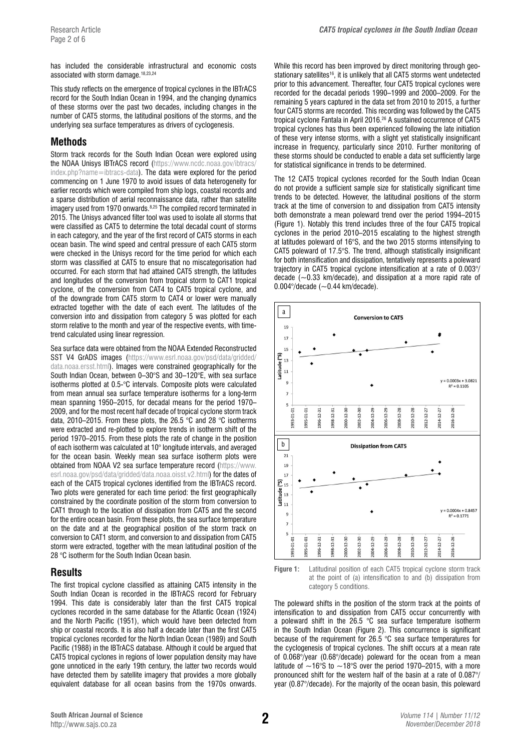has included the considerable infrastructural and economic costs associated with storm damage.18,23,24

This study reflects on the emergence of tropical cyclones in the IBTrACS record for the South Indian Ocean in 1994, and the changing dynamics of these storms over the past two decades, including changes in the number of CAT5 storms, the latitudinal positions of the storms, and the underlying sea surface temperatures as drivers of cyclogenesis.

# **Methods**

Storm track records for the South Indian Ocean were explored using the NOAA Unisys IBTrACS record [\(https://www.ncdc.noaa.gov/ibtracs/](https://www.ncdc.noaa.gov/ibtracs/index.php?name=ibtracs-data) [index.php?name=ibtracs-data](https://www.ncdc.noaa.gov/ibtracs/index.php?name=ibtracs-data)). The data were explored for the period commencing on 1 June 1970 to avoid issues of data heterogeneity for earlier records which were compiled from ship logs, coastal records and a sparse distribution of aerial reconnaissance data, rather than satellite imagery used from 1970 onwards.<sup>8,25</sup> The compiled record terminated in 2015. The Unisys advanced filter tool was used to isolate all storms that were classified as CAT5 to determine the total decadal count of storms in each category, and the year of the first record of CAT5 storms in each ocean basin. The wind speed and central pressure of each CAT5 storm were checked in the Unisys record for the time period for which each storm was classified at CAT5 to ensure that no miscategorisation had occurred. For each storm that had attained CAT5 strength, the latitudes and longitudes of the conversion from tropical storm to CAT1 tropical cyclone, of the conversion from CAT4 to CAT5 tropical cyclone, and of the downgrade from CAT5 storm to CAT4 or lower were manually extracted together with the date of each event. The latitudes of the conversion into and dissipation from category 5 was plotted for each storm relative to the month and year of the respective events, with timetrend calculated using linear regression.

Sea surface data were obtained from the NOAA Extended Reconstructed SST V4 GrADS images ([https://www.esrl.noaa.gov/psd/data/gridded/](https://www.esrl.noaa.gov/psd/data/gridded/data.noaa.ersst.html) [data.noaa.ersst.html](https://www.esrl.noaa.gov/psd/data/gridded/data.noaa.ersst.html)). Images were constrained geographically for the South Indian Ocean, between 0–30°S and 30–120°E, with sea surface isotherms plotted at 0.5-°C intervals. Composite plots were calculated from mean annual sea surface temperature isotherms for a long-term mean spanning 1950–2015, for decadal means for the period 1970– 2009, and for the most recent half decade of tropical cyclone storm track data, 2010–2015. From these plots, the 26.5 °C and 28 °C isotherms were extracted and re-plotted to explore trends in isotherm shift of the period 1970–2015. From these plots the rate of change in the position of each isotherm was calculated at 10° longitude intervals, and averaged for the ocean basin. Weekly mean sea surface isotherm plots were obtained from NOAA V2 sea surface temperature record [\(https://www.](https://www.esrl.noaa.gov/psd/data/gridded/data.noaa.oisst.v2.html) [esrl.noaa.gov/psd/data/gridded/data.noaa.oisst.v2.html](https://www.esrl.noaa.gov/psd/data/gridded/data.noaa.oisst.v2.html)) for the dates of each of the CAT5 tropical cyclones identified from the IBTrACS record. Two plots were generated for each time period: the first geographically constrained by the coordinate position of the storm from conversion to CAT1 through to the location of dissipation from CAT5 and the second for the entire ocean basin. From these plots, the sea surface temperature on the date and at the geographical position of the storm track on conversion to CAT1 storm, and conversion to and dissipation from CAT5 storm were extracted, together with the mean latitudinal position of the 28 °C isotherm for the South Indian Ocean basin.

# **Results**

The first tropical cyclone classified as attaining CAT5 intensity in the South Indian Ocean is recorded in the IBTrACS record for February 1994. This date is considerably later than the first CAT5 tropical cyclones recorded in the same database for the Atlantic Ocean (1924) and the North Pacific (1951), which would have been detected from ship or coastal records. It is also half a decade later than the first CAT5 tropical cyclones recorded for the North Indian Ocean (1989) and South Pacific (1988) in the IBTrACS database. Although it could be argued that CAT5 tropical cyclones in regions of lower population density may have gone unnoticed in the early 19th century, the latter two records would have detected them by satellite imagery that provides a more globally equivalent database for all ocean basins from the 1970s onwards.

While this record has been improved by direct monitoring through geostationary satellites<sup>16</sup>, it is unlikely that all CAT5 storms went undetected prior to this advancement. Thereafter, four CAT5 tropical cyclones were recorded for the decadal periods 1990–1999 and 2000–2009. For the remaining 5 years captured in the data set from 2010 to 2015, a further four CAT5 storms are recorded. This recording was followed by the CAT5 tropical cyclone Fantala in April 2016.<sup>26</sup> A sustained occurrence of CAT5 tropical cyclones has thus been experienced following the late initiation of these very intense storms, with a slight yet statistically insignificant increase in frequency, particularly since 2010. Further monitoring of these storms should be conducted to enable a data set sufficiently large for statistical significance in trends to be determined.

The 12 CAT5 tropical cyclones recorded for the South Indian Ocean do not provide a sufficient sample size for statistically significant time trends to be detected. However, the latitudinal positions of the storm track at the time of conversion to and dissipation from CAT5 intensity both demonstrate a mean poleward trend over the period 1994–2015 (Figure 1). Notably this trend includes three of the four CAT5 tropical cyclones in the period 2010–2015 escalating to the highest strength at latitudes poleward of 16°S, and the two 2015 storms intensifying to CAT5 poleward of 17.5°S. The trend, although statistically insignificant for both intensification and dissipation, tentatively represents a poleward trajectory in CAT5 tropical cyclone intensification at a rate of 0.003°/ decade  $(-0.33 \text{ km/decade})$ , and dissipation at a more rapid rate of 0.004 $\degree$ /decade ( $\sim$ 0.44 km/decade).



**Figure 1:** Latitudinal position of each CAT5 tropical cyclone storm track at the point of (a) intensification to and (b) dissipation from category 5 conditions.

The poleward shifts in the position of the storm track at the points of intensification to and dissipation from CAT5 occur concurrently with a poleward shift in the 26.5 °C sea surface temperature isotherm in the South Indian Ocean (Figure 2). This concurrence is significant because of the requirement for 26.5 °C sea surface temperatures for the cyclogenesis of tropical cyclones. The shift occurs at a mean rate of 0.068°/year (0.68°/decade) poleward for the ocean from a mean latitude of  $~16^{\circ}$ S to  $~18^{\circ}$ S over the period 1970–2015, with a more pronounced shift for the western half of the basin at a rate of 0.087°/ year (0.87°/decade). For the majority of the ocean basin, this poleward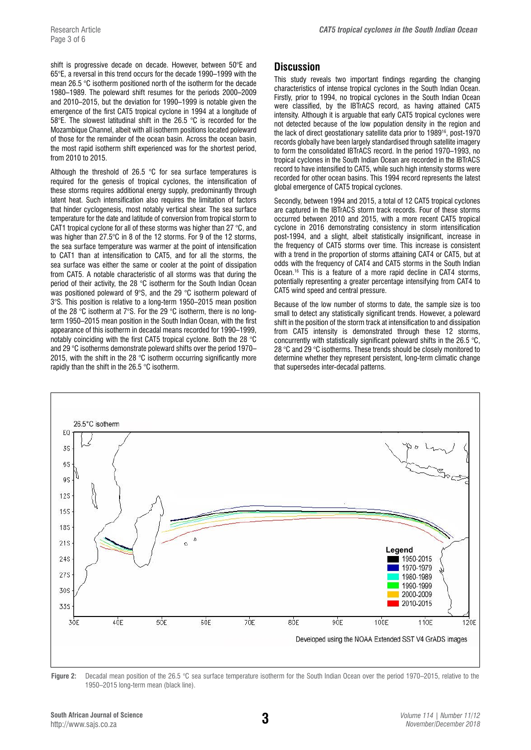shift is progressive decade on decade. However, between 50°E and 65°E, a reversal in this trend occurs for the decade 1990–1999 with the mean 26.5 °C isotherm positioned north of the isotherm for the decade 1980–1989. The poleward shift resumes for the periods 2000–2009 and 2010–2015, but the deviation for 1990–1999 is notable given the emergence of the first CAT5 tropical cyclone in 1994 at a longitude of 58°E. The slowest latitudinal shift in the 26.5 °C is recorded for the Mozambique Channel, albeit with all isotherm positions located poleward of those for the remainder of the ocean basin. Across the ocean basin, the most rapid isotherm shift experienced was for the shortest period, from 2010 to 2015.

Although the threshold of 26.5  $\degree$ C for sea surface temperatures is required for the genesis of tropical cyclones, the intensification of these storms requires additional energy supply, predominantly through latent heat. Such intensification also requires the limitation of factors that hinder cyclogenesis, most notably vertical shear. The sea surface temperature for the date and latitude of conversion from tropical storm to CAT1 tropical cyclone for all of these storms was higher than 27 °C, and was higher than 27.5°C in 8 of the 12 storms. For 9 of the 12 storms, the sea surface temperature was warmer at the point of intensification to CAT1 than at intensification to CAT5, and for all the storms, the sea surface was either the same or cooler at the point of dissipation from CAT5. A notable characteristic of all storms was that during the period of their activity, the 28 °C isotherm for the South Indian Ocean was positioned poleward of 9°S, and the 29 °C isotherm poleward of 3°S. This position is relative to a long-term 1950–2015 mean position of the 28 °C isotherm at 7°S. For the 29 °C isotherm, there is no longterm 1950–2015 mean position in the South Indian Ocean, with the first appearance of this isotherm in decadal means recorded for 1990–1999, notably coinciding with the first CAT5 tropical cyclone. Both the 28 °C and 29 °C isotherms demonstrate poleward shifts over the period 1970– 2015, with the shift in the 28  $\degree$ C isotherm occurring significantly more rapidly than the shift in the 26.5 °C isotherm.

# **Discussion**

This study reveals two important findings regarding the changing characteristics of intense tropical cyclones in the South Indian Ocean. Firstly, prior to 1994, no tropical cyclones in the South Indian Ocean were classified, by the IBTrACS record, as having attained CAT5 intensity. Although it is arguable that early CAT5 tropical cyclones were not detected because of the low population density in the region and the lack of direct geostationary satellite data prior to 198916, post-1970 records globally have been largely standardised through satellite imagery to form the consolidated IBTrACS record. In the period 1970–1993, no tropical cyclones in the South Indian Ocean are recorded in the IBTrACS record to have intensified to CAT5, while such high intensity storms were recorded for other ocean basins. This 1994 record represents the latest global emergence of CAT5 tropical cyclones.

Secondly, between 1994 and 2015, a total of 12 CAT5 tropical cyclones are captured in the IBTrACS storm track records. Four of these storms occurred between 2010 and 2015, with a more recent CAT5 tropical cyclone in 2016 demonstrating consistency in storm intensification post-1994, and a slight, albeit statistically insignificant, increase in the frequency of CAT5 storms over time. This increase is consistent with a trend in the proportion of storms attaining CAT4 or CAT5, but at odds with the frequency of CAT4 and CAT5 storms in the South Indian Ocean.16 This is a feature of a more rapid decline in CAT4 storms, potentially representing a greater percentage intensifying from CAT4 to CAT5 wind speed and central pressure.

Because of the low number of storms to date, the sample size is too small to detect any statistically significant trends. However, a poleward shift in the position of the storm track at intensification to and dissipation from CAT5 intensity is demonstrated through these 12 storms, concurrently with statistically significant poleward shifts in the 26.5 °C, 28 °C and 29 °C isotherms. These trends should be closely monitored to determine whether they represent persistent, long-term climatic change that supersedes inter-decadal patterns.



**Figure 2:** Decadal mean position of the 26.5 °C sea surface temperature isotherm for the South Indian Ocean over the period 1970–2015, relative to the 1950–2015 long-term mean (black line).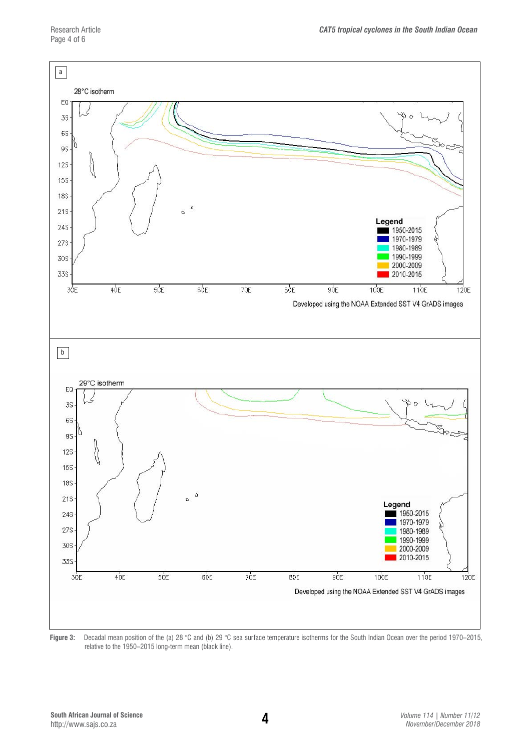

Figure 3: Decadal mean position of the (a) 28 °C and (b) 29 °C sea surface temperature isotherms for the South Indian Ocean over the period 1970–2015, relative to the 1950–2015 long-term mean (black line).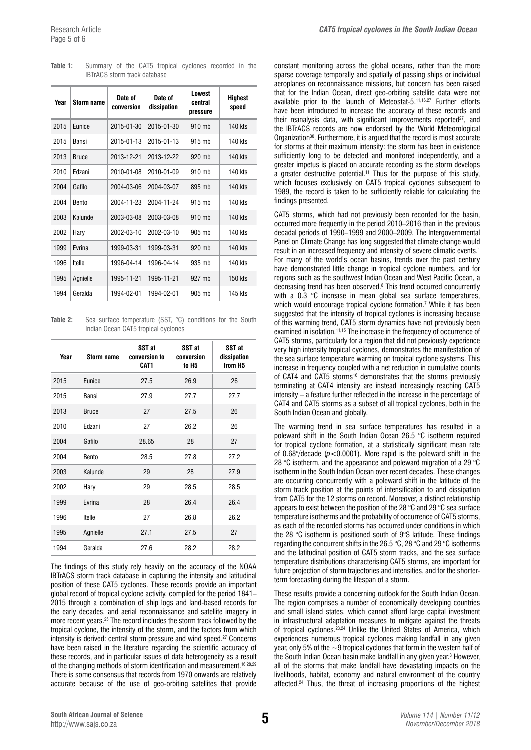| Year | Storm name   | Date of<br>conversion | Date of<br>dissipation | Lowest<br>central<br>pressure | Highest<br>speed |
|------|--------------|-----------------------|------------------------|-------------------------------|------------------|
| 2015 | Eunice       | 2015-01-30            | 2015-01-30             | 910 mb                        | 140 kts          |
| 2015 | Bansi        | 2015-01-13            | 2015-01-13             | $915$ mb                      | 140 kts          |
| 2013 | <b>Bruce</b> | 2013-12-21            | 2013-12-22             | $920$ mb                      | 140 kts          |
| 2010 | Edzani       | 2010-01-08            | 2010-01-09             | 910 mb                        | 140 kts          |
| 2004 | Gafilo       | 2004-03-06            | 2004-03-07             | 895 mb                        | 140 kts          |
| 2004 | Bento        | 2004-11-23            | 2004-11-24             | 915 mb                        | 140 kts          |
| 2003 | Kalunde      | 2003-03-08            | 2003-03-08             | $910$ mb                      | 140 kts          |
| 2002 | Hary         | 2002-03-10            | 2002-03-10             | $905$ mb                      | 140 kts          |
| 1999 | Evrina       | 1999-03-31            | 1999-03-31             | 920 mb                        | 140 kts          |
| 1996 | Itelle       | 1996-04-14            | 1996-04-14             | 935 mb                        | 140 kts          |
| 1995 | Agnielle     | 1995-11-21            | 1995-11-21             | 927 mb                        | 150 kts          |
| 1994 | Geralda      | 1994-02-01            | 1994-02-01             | 905 mb                        | 145 kts          |

**Table 1:** Summary of the CAT5 tropical cyclones recorded in the IBTrACS storm track database

Table 2: Sea surface temperature (SST, °C) conditions for the South Indian Ocean CAT5 tropical cyclones

| Year | <b>Storm name</b> | SST at<br>conversion to<br>CAT1 | SST at<br>conversion<br>to H <sub>5</sub> | SST at<br>dissipation<br>from H <sub>5</sub> |
|------|-------------------|---------------------------------|-------------------------------------------|----------------------------------------------|
| 2015 | Eunice            | 27.5                            | 26.9                                      | 26                                           |
| 2015 | <b>Bansi</b>      | 27.9                            | 27.7                                      | 27.7                                         |
| 2013 | <b>Bruce</b>      | 27                              | 27.5                                      | 26                                           |
| 2010 | Edzani            | 27                              | 26.2                                      | 26                                           |
| 2004 | Gafilo            | 28.65                           | 28                                        | 27                                           |
| 2004 | Bento             | 28.5                            | 27.8                                      | 27.2                                         |
| 2003 | Kalunde           | 29                              | 28                                        | 27.9                                         |
| 2002 | Hary              | 29                              | 28.5                                      | 28.5                                         |
| 1999 | Evrina            | 28                              | 26.4                                      | 26.4                                         |
| 1996 | Itelle            | 27                              | 26.8                                      | 26.2                                         |
| 1995 | Agnielle          | 27.1                            | 27.5                                      | 27                                           |
| 1994 | Geralda           | 27.6                            | 28.2                                      | 28.2                                         |

The findings of this study rely heavily on the accuracy of the NOAA IBTrACS storm track database in capturing the intensity and latitudinal position of these CAT5 cyclones. These records provide an important global record of tropical cyclone activity, compiled for the period 1841– 2015 through a combination of ship logs and land-based records for the early decades, and aerial reconnaissance and satellite imagery in more recent years.25 The record includes the storm track followed by the tropical cyclone, the intensity of the storm, and the factors from which intensity is derived: central storm pressure and wind speed.27 Concerns have been raised in the literature regarding the scientific accuracy of these records, and in particular issues of data heterogeneity as a result of the changing methods of storm identification and measurement.<sup>16,28,29</sup> There is some consensus that records from 1970 onwards are relatively accurate because of the use of geo-orbiting satellites that provide constant monitoring across the global oceans, rather than the more sparse coverage temporally and spatially of passing ships or individual aeroplanes on reconnaissance missions, but concern has been raised that for the Indian Ocean, direct geo-orbiting satellite data were not available prior to the launch of Meteostat-5.11,16,27 Further efforts have been introduced to increase the accuracy of these records and their reanalysis data, with significant improvements reported $27$ , and the IBTrACS records are now endorsed by the World Meteorological Organization<sup>30</sup>. Furthermore, it is argued that the record is most accurate for storms at their maximum intensity: the storm has been in existence sufficiently long to be detected and monitored independently, and a greater impetus is placed on accurate recording as the storm develops a greater destructive potential.<sup>11</sup> Thus for the purpose of this study, which focuses exclusively on CAT5 tropical cyclones subsequent to 1989, the record is taken to be sufficiently reliable for calculating the findings presented.

CAT5 storms, which had not previously been recorded for the basin, occurred more frequently in the period 2010–2016 than in the previous decadal periods of 1990–1999 and 2000–2009. The Intergovernmental Panel on Climate Change has long suggested that climate change would result in an increased frequency and intensity of severe climatic events.1 For many of the world's ocean basins, trends over the past century have demonstrated little change in tropical cyclone numbers, and for regions such as the southwest Indian Ocean and West Pacific Ocean, a decreasing trend has been observed.8 This trend occurred concurrently with a 0.3 °C increase in mean global sea surface temperatures, which would encourage tropical cyclone formation.<sup>7</sup> While it has been suggested that the intensity of tropical cyclones is increasing because of this warming trend, CAT5 storm dynamics have not previously been examined in isolation.<sup>11,15</sup> The increase in the frequency of occurrence of CAT5 storms, particularly for a region that did not previously experience very high intensity tropical cyclones, demonstrates the manifestation of the sea surface temperature warming on tropical cyclone systems. This increase in frequency coupled with a net reduction in cumulative counts of CAT4 and CAT5 storms<sup>16</sup> demonstrates that the storms previously terminating at CAT4 intensity are instead increasingly reaching CAT5 intensity – a feature further reflected in the increase in the percentage of CAT4 and CAT5 storms as a subset of all tropical cyclones, both in the South Indian Ocean and globally.

The warming trend in sea surface temperatures has resulted in a poleward shift in the South Indian Ocean 26.5 °C isotherm required for tropical cyclone formation, at a statistically significant mean rate of  $0.68^{\circ}/$ decade ( $p < 0.0001$ ). More rapid is the poleward shift in the 28 °C isotherm, and the appearance and poleward migration of a 29 °C isotherm in the South Indian Ocean over recent decades. These changes are occurring concurrently with a poleward shift in the latitude of the storm track position at the points of intensification to and dissipation from CAT5 for the 12 storms on record. Moreover, a distinct relationship appears to exist between the position of the 28 °C and 29 °C sea surface temperature isotherms and the probability of occurrence of CAT5 storms, as each of the recorded storms has occurred under conditions in which the 28 °C isotherm is positioned south of 9°S latitude. These findings regarding the concurrent shifts in the 26.5 °C, 28 °C and 29 °C isotherms and the latitudinal position of CAT5 storm tracks, and the sea surface temperature distributions characterising CAT5 storms, are important for future projection of storm trajectories and intensities, and for the shorterterm forecasting during the lifespan of a storm.

These results provide a concerning outlook for the South Indian Ocean. The region comprises a number of economically developing countries and small island states, which cannot afford large capital investment in infrastructural adaptation measures to mitigate against the threats of tropical cyclones.23,24 Unlike the United States of America, which experiences numerous tropical cyclones making landfall in any given year, only 5% of the ~9 tropical cyclones that form in the western half of the South Indian Ocean basin make landfall in any given year.<sup>8</sup> However, all of the storms that make landfall have devastating impacts on the livelihoods, habitat, economy and natural environment of the country affected.<sup>24</sup> Thus, the threat of increasing proportions of the highest